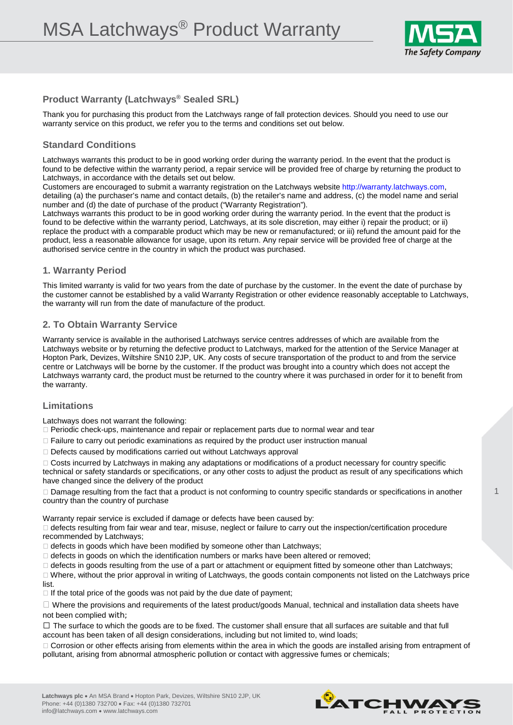

# **Product Warranty (Latchways® Sealed SRL)**

Thank you for purchasing this product from the Latchways range of fall protection devices. Should you need to use our warranty service on this product, we refer you to the terms and conditions set out below.

## **Standard Conditions**

Latchways warrants this product to be in good working order during the warranty period. In the event that the product is found to be defective within the warranty period, a repair service will be provided free of charge by returning the product to Latchways, in accordance with the details set out below.

Customers are encouraged to submit a warranty registration on the Latchways website http://warranty.latchways.com, detailing (a) the purchaser's name and contact details, (b) the retailer's name and address, (c) the model name and serial number and (d) the date of purchase of the product ("Warranty Registration").

Latchways warrants this product to be in good working order during the warranty period. In the event that the product is found to be defective within the warranty period, Latchways, at its sole discretion, may either i) repair the product; or ii) replace the product with a comparable product which may be new or remanufactured; or iii) refund the amount paid for the product, less a reasonable allowance for usage, upon its return. Any repair service will be provided free of charge at the authorised service centre in the country in which the product was purchased.

#### **1. Warranty Period**

This limited warranty is valid for two years from the date of purchase by the customer. In the event the date of purchase by the customer cannot be established by a valid Warranty Registration or other evidence reasonably acceptable to Latchways, the warranty will run from the date of manufacture of the product.

## **2. To Obtain Warranty Service**

Warranty service is available in the authorised Latchways service centres addresses of which are available from the Latchways website or by returning the defective product to Latchways, marked for the attention of the Service Manager at Hopton Park, Devizes, Wiltshire SN10 2JP, UK. Any costs of secure transportation of the product to and from the service centre or Latchways will be borne by the customer. If the product was brought into a country which does not accept the Latchways warranty card, the product must be returned to the country where it was purchased in order for it to benefit from the warranty.

## **Limitations**

Latchways does not warrant the following:

Periodic check-ups, maintenance and repair or replacement parts due to normal wear and tear

 $\Box$  Failure to carry out periodic examinations as required by the product user instruction manual

 $\Box$  Defects caused by modifications carried out without Latchways approval

Costs incurred by Latchways in making any adaptations or modifications of a product necessary for country specific

technical or safety standards or specifications, or any other costs to adjust the product as result of any specifications which have changed since the delivery of the product

 $\Box$  Damage resulting from the fact that a product is not conforming to country specific standards or specifications in another country than the country of purchase

Warranty repair service is excluded if damage or defects have been caused by:

 $\Box$  defects resulting from fair wear and tear, misuse, neglect or failure to carry out the inspection/certification procedure recommended by Latchways;

 $\Box$  defects in goods which have been modified by someone other than Latchways;

 $\Box$  defects in goods on which the identification numbers or marks have been altered or removed;

 $\Box$  defects in goods resulting from the use of a part or attachment or equipment fitted by someone other than Latchways;

 $\Box$  Where, without the prior approval in writing of Latchways, the goods contain components not listed on the Latchways price list.

 $\Box$  If the total price of the goods was not paid by the due date of payment;

 $\Box$  Where the provisions and requirements of the latest product/goods Manual, technical and installation data sheets have not been complied with;

 $\Box$  The surface to which the goods are to be fixed. The customer shall ensure that all surfaces are suitable and that full account has been taken of all design considerations, including but not limited to, wind loads;

□ Corrosion or other effects arising from elements within the area in which the goods are installed arising from entrapment of pollutant, arising from abnormal atmospheric pollution or contact with aggressive fumes or chemicals;